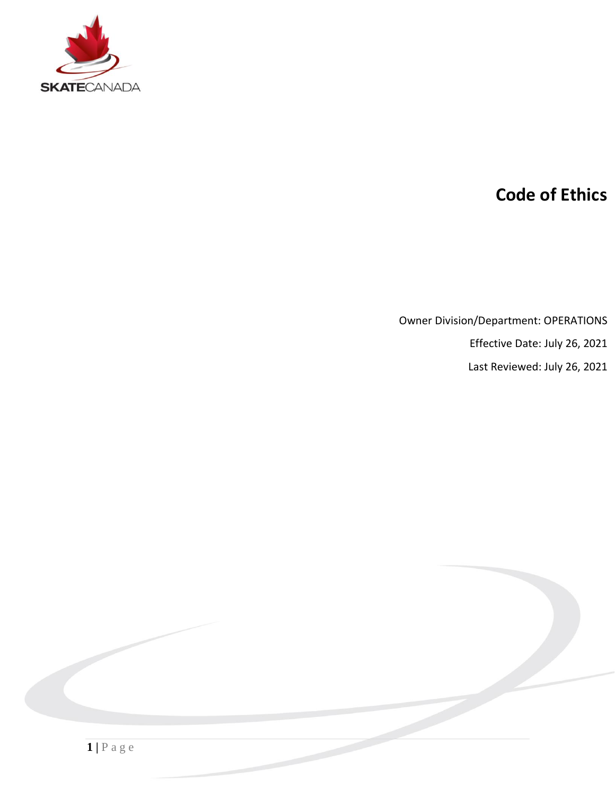

# **Code of Ethics**

Owner Division/Department: OPERATIONS

Effective Date: July 26, 2021

Last Reviewed: July 26, 2021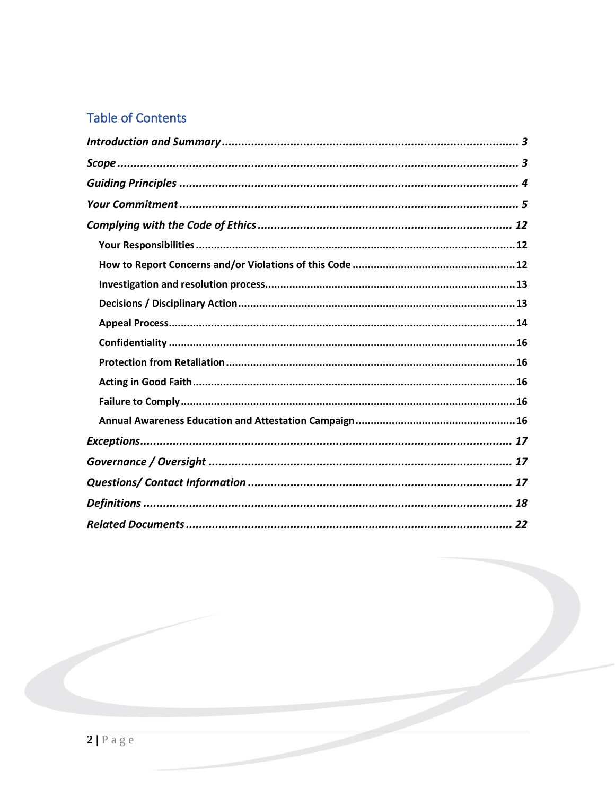# **Table of Contents**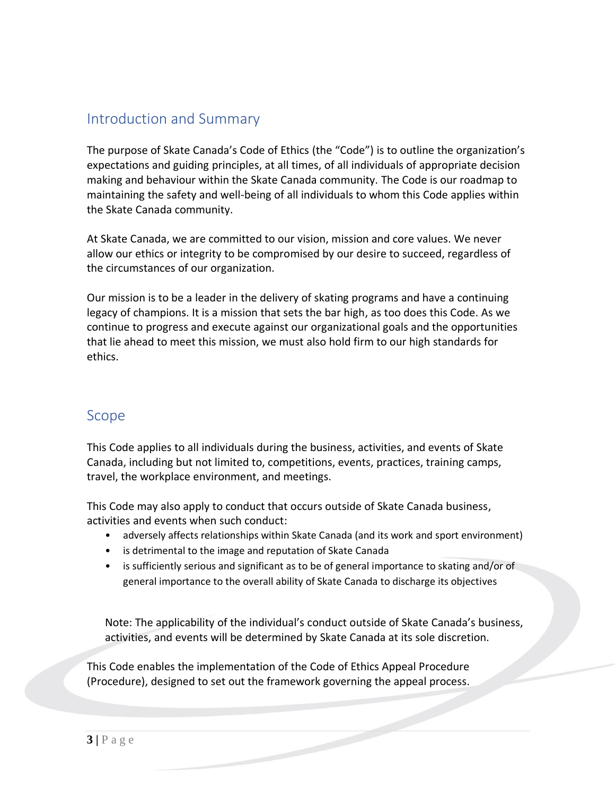### <span id="page-2-0"></span>Introduction and Summary

The purpose of Skate Canada's Code of Ethics (the "Code") is to outline the organization's expectations and guiding principles, at all times, of all individuals of appropriate decision making and behaviour within the Skate Canada community. The Code is our roadmap to maintaining the safety and well-being of all individuals to whom this Code applies within the Skate Canada community.

At Skate Canada, we are committed to our vision, mission and core values. We never allow our ethics or integrity to be compromised by our desire to succeed, regardless of the circumstances of our organization.

Our mission is to be a leader in the delivery of skating programs and have a continuing legacy of champions. It is a mission that sets the bar high, as too does this Code. As we continue to progress and execute against our organizational goals and the opportunities that lie ahead to meet this mission, we must also hold firm to our high standards for ethics.

### <span id="page-2-1"></span>Scope

This Code applies to all individuals during the business, activities, and events of Skate Canada, including but not limited to, competitions, events, practices, training camps, travel, the workplace environment, and meetings.

This Code may also apply to conduct that occurs outside of Skate Canada business, activities and events when such conduct:

- adversely affects relationships within Skate Canada (and its work and sport environment)
- is detrimental to the image and reputation of Skate Canada
- is sufficiently serious and significant as to be of general importance to skating and/or of general importance to the overall ability of Skate Canada to discharge its objectives

Note: The applicability of the individual's conduct outside of Skate Canada's business, activities, and events will be determined by Skate Canada at its sole discretion.

This Code enables the implementation of the Code of Ethics Appeal Procedure (Procedure), designed to set out the framework governing the appeal process.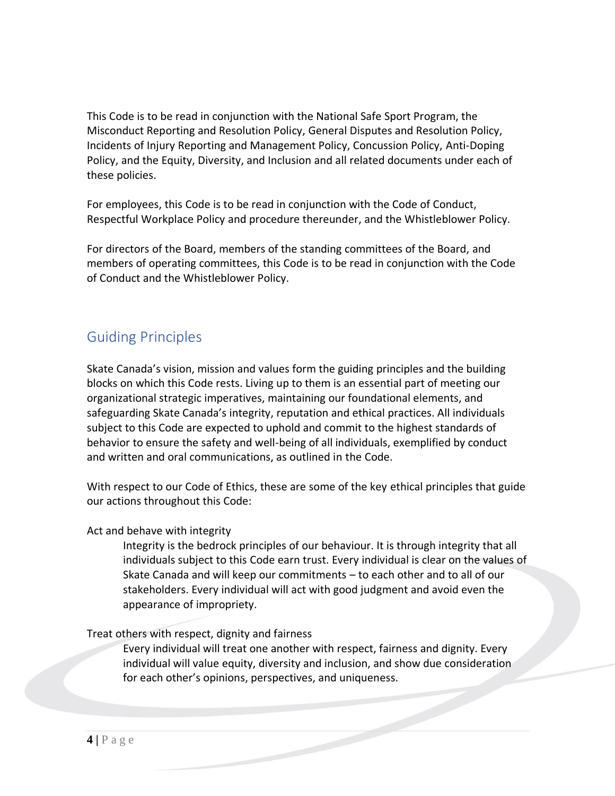This Code is to be read in conjunction with the National Safe Sport Program, the Misconduct Reporting and Resolution Policy, General Disputes and Resolution Policy, Incidents of Injury Reporting and Management Policy, Concussion Policy, Anti-Doping Policy, and the Equity, Diversity, and Inclusion and all related documents under each of these policies.

For employees, this Code is to be read in conjunction with the Code of Conduct, Respectful Workplace Policy and procedure thereunder, and the Whistleblower Policy.

For directors of the Board, members of the standing committees of the Board, and members of operating committees, this Code is to be read in conjunction with the Code of Conduct and the Whistleblower Policy.

# <span id="page-3-0"></span>Guiding Principles

Skate Canada's vision, mission and values form the guiding principles and the building blocks on which this Code rests. Living up to them is an essential part of meeting our organizational strategic imperatives, maintaining our foundational elements, and safeguarding Skate Canada's integrity, reputation and ethical practices. All individuals subject to this Code are expected to uphold and commit to the highest standards of behavior to ensure the safety and well-being of all individuals, exemplified by conduct and written and oral communications, as outlined in the Code.

With respect to our Code of Ethics, these are some of the key ethical principles that guide our actions throughout this Code:

Act and behave with integrity

Integrity is the bedrock principles of our behaviour. It is through integrity that all individuals subject to this Code earn trust. Every individual is clear on the values of Skate Canada and will keep our commitments – to each other and to all of our stakeholders. Every individual will act with good judgment and avoid even the appearance of impropriety.

#### Treat others with respect, dignity and fairness

Every individual will treat one another with respect, fairness and dignity. Every individual will value equity, diversity and inclusion, and show due consideration for each other's opinions, perspectives, and uniqueness.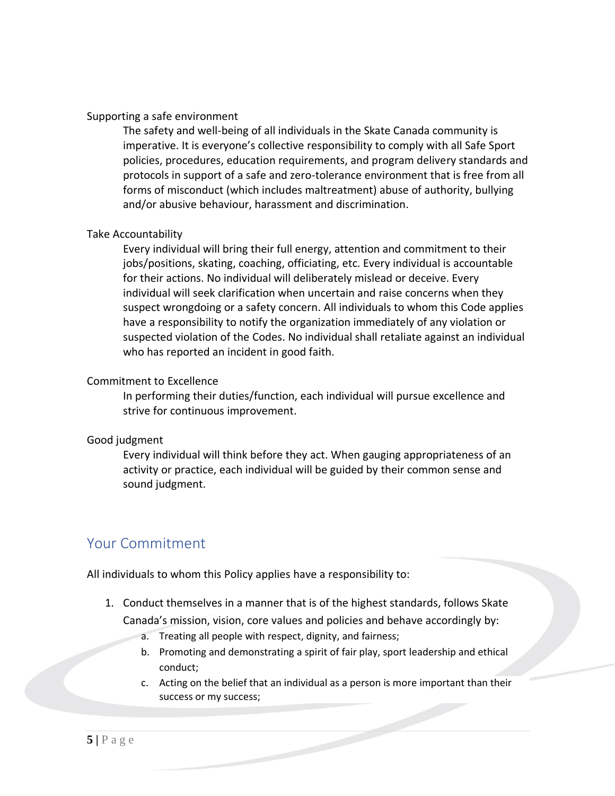#### Supporting a safe environment

The safety and well-being of all individuals in the Skate Canada community is imperative. It is everyone's collective responsibility to comply with all Safe Sport policies, procedures, education requirements, and program delivery standards and protocols in support of a safe and zero-tolerance environment that is free from all forms of misconduct (which includes maltreatment) abuse of authority, bullying and/or abusive behaviour, harassment and discrimination.

#### Take Accountability

Every individual will bring their full energy, attention and commitment to their jobs/positions, skating, coaching, officiating, etc. Every individual is accountable for their actions. No individual will deliberately mislead or deceive. Every individual will seek clarification when uncertain and raise concerns when they suspect wrongdoing or a safety concern. All individuals to whom this Code applies have a responsibility to notify the organization immediately of any violation or suspected violation of the Codes. No individual shall retaliate against an individual who has reported an incident in good faith.

#### Commitment to Excellence

In performing their duties/function, each individual will pursue excellence and strive for continuous improvement.

#### Good judgment

Every individual will think before they act. When gauging appropriateness of an activity or practice, each individual will be guided by their common sense and sound judgment.

### <span id="page-4-0"></span>Your Commitment

All individuals to whom this Policy applies have a responsibility to:

- 1. Conduct themselves in a manner that is of the highest standards, follows Skate Canada's mission, vision, core values and policies and behave accordingly by:
	- a. Treating all people with respect, dignity, and fairness;
	- b. Promoting and demonstrating a spirit of fair play, sport leadership and ethical conduct;
	- c. Acting on the belief that an individual as a person is more important than their success or my success;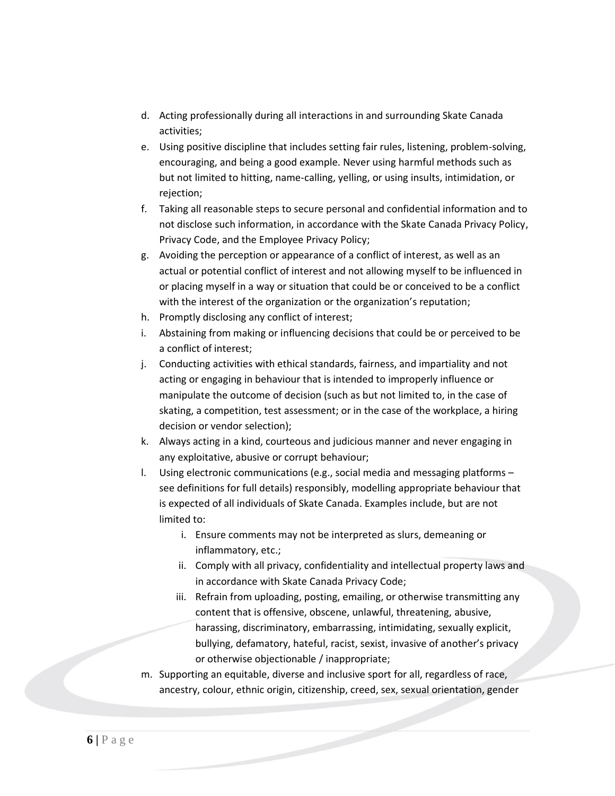- d. Acting professionally during all interactions in and surrounding Skate Canada activities;
- e. Using positive discipline that includes setting fair rules, listening, problem-solving, encouraging, and being a good example. Never using harmful methods such as but not limited to hitting, name-calling, yelling, or using insults, intimidation, or rejection;
- f. Taking all reasonable steps to secure personal and confidential information and to not disclose such information, in accordance with the Skate Canada Privacy Policy, Privacy Code, and the Employee Privacy Policy;
- g. Avoiding the perception or appearance of a conflict of interest, as well as an actual or potential conflict of interest and not allowing myself to be influenced in or placing myself in a way or situation that could be or conceived to be a conflict with the interest of the organization or the organization's reputation;
- h. Promptly disclosing any conflict of interest;
- i. Abstaining from making or influencing decisions that could be or perceived to be a conflict of interest;
- j. Conducting activities with ethical standards, fairness, and impartiality and not acting or engaging in behaviour that is intended to improperly influence or manipulate the outcome of decision (such as but not limited to, in the case of skating, a competition, test assessment; or in the case of the workplace, a hiring decision or vendor selection);
- k. Always acting in a kind, courteous and judicious manner and never engaging in any exploitative, abusive or corrupt behaviour;
- l. Using electronic communications (e.g., social media and messaging platforms see definitions for full details) responsibly, modelling appropriate behaviour that is expected of all individuals of Skate Canada. Examples include, but are not limited to:
	- i. Ensure comments may not be interpreted as slurs, demeaning or inflammatory, etc.;
	- ii. Comply with all privacy, confidentiality and intellectual property laws and in accordance with Skate Canada Privacy Code;
	- iii. Refrain from uploading, posting, emailing, or otherwise transmitting any content that is offensive, obscene, unlawful, threatening, abusive, harassing, discriminatory, embarrassing, intimidating, sexually explicit, bullying, defamatory, hateful, racist, sexist, invasive of another's privacy or otherwise objectionable / inappropriate;
- m. Supporting an equitable, diverse and inclusive sport for all, regardless of race, ancestry, colour, ethnic origin, citizenship, creed, sex, sexual orientation, gender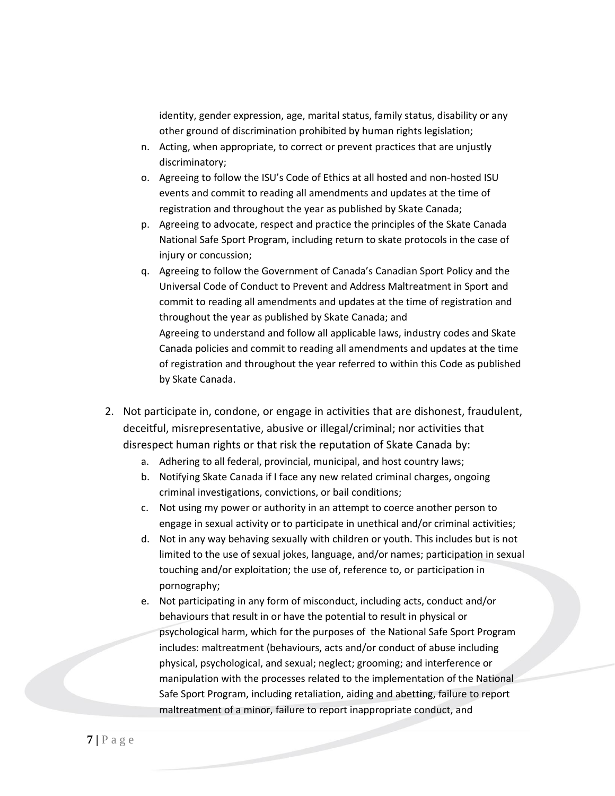identity, gender expression, age, marital status, family status, disability or any other ground of discrimination prohibited by human rights legislation;

- n. Acting, when appropriate, to correct or prevent practices that are unjustly discriminatory;
- o. Agreeing to follow the [ISU's Code of Ethics](http://static.isu.org/media/544596/2104-isu-code-of-ethics-2017.pdf) at all hosted and non-hosted ISU events and commit to reading all amendments and updates at the time of registration and throughout the year as published by Skate Canada;
- p. Agreeing to advocate, respect and practice the principles of the Skate Canada National Safe Sport Program, including return to skate protocols in the case of injury or concussion;
- q. Agreeing to follow the Government of Canada's Canadian Sport Policy and the Universal Code of Conduct to Prevent and Address Maltreatment in Sport and commit to reading all amendments and updates at the time of registration and throughout the year as published by Skate Canada; and Agreeing to understand and follow all applicable laws, industry codes and Skate Canada policies and commit to reading all amendments and updates at the time of registration and throughout the year referred to within this Code as published by Skate Canada.
- 2. Not participate in, condone, or engage in activities that are dishonest, fraudulent, deceitful, misrepresentative, abusive or illegal/criminal; nor activities that disrespect human rights or that risk the reputation of Skate Canada by:
	- a. Adhering to all federal, provincial, municipal, and host country laws;
	- b. Notifying Skate Canada if I face any new related criminal charges, ongoing criminal investigations, convictions, or bail conditions;
	- c. Not using my power or authority in an attempt to coerce another person to engage in sexual activity or to participate in unethical and/or criminal activities;
	- d. Not in any way behaving sexually with children or youth. This includes but is not limited to the use of sexual jokes, language, and/or names; participation in sexual touching and/or exploitation; the use of, reference to, or participation in pornography;
	- e. Not participating in any form of misconduct, including acts, conduct and/or behaviours that result in or have the potential to result in physical or psychological harm, which for the purposes of the National Safe Sport Program includes: maltreatment (behaviours, acts and/or conduct of abuse including physical, psychological, and sexual; neglect; grooming; and interference or manipulation with the processes related to the implementation of the National Safe Sport Program, including retaliation, aiding and abetting, failure to report maltreatment of a minor, failure to report inappropriate conduct, and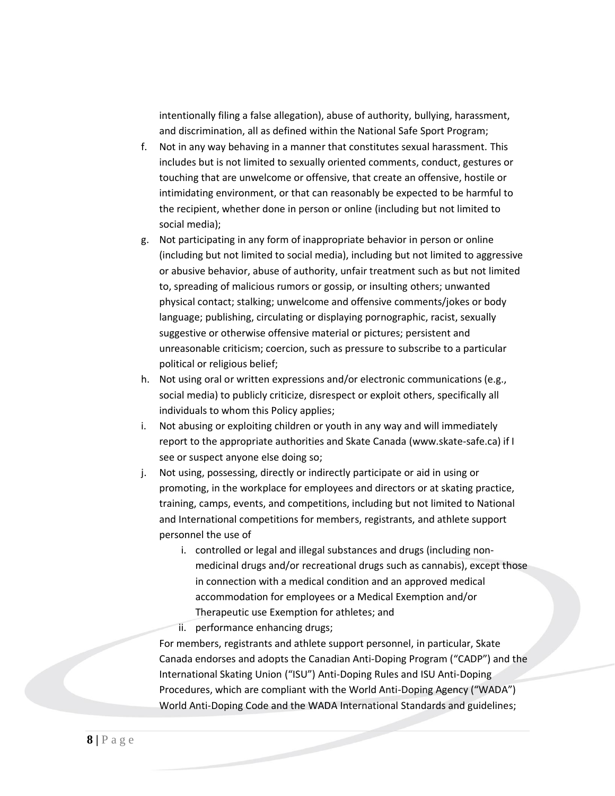intentionally filing a false allegation), abuse of authority, bullying, harassment, and discrimination, all as defined within the National Safe Sport Program;

- f. Not in any way behaving in a manner that constitutes sexual harassment. This includes but is not limited to sexually oriented comments, conduct, gestures or touching that are unwelcome or offensive, that create an offensive, hostile or intimidating environment, or that can reasonably be expected to be harmful to the recipient, whether done in person or online (including but not limited to social media);
- g. Not participating in any form of inappropriate behavior in person or online (including but not limited to social media), including but not limited to aggressive or abusive behavior, abuse of authority, unfair treatment such as but not limited to, spreading of malicious rumors or gossip, or insulting others; unwanted physical contact; stalking; unwelcome and offensive comments/jokes or body language; publishing, circulating or displaying pornographic, racist, sexually suggestive or otherwise offensive material or pictures; persistent and unreasonable criticism; coercion, such as pressure to subscribe to a particular political or religious belief;
- h. Not using oral or written expressions and/or electronic communications (e.g., social media) to publicly criticize, disrespect or exploit others, specifically all individuals to whom this Policy applies;
- i. Not abusing or exploiting children or youth in any way and will immediately report to the appropriate authorities and Skate Canada (www.skate-safe.ca) if I see or suspect anyone else doing so;
- j. Not using, possessing, directly or indirectly participate or aid in using or promoting, in the workplace for employees and directors or at skating practice, training, camps, events, and competitions, including but not limited to National and International competitions for members, registrants, and athlete support personnel the use of
	- i. controlled or legal and illegal substances and drugs (including nonmedicinal drugs and/or recreational drugs such as cannabis), except those in connection with a medical condition and an approved medical accommodation for employees or a Medical Exemption and/or Therapeutic use Exemption for athletes; and

ii. performance enhancing drugs;

For members, registrants and athlete support personnel, in particular, Skate Canada endorses and adopts the Canadian Anti-Doping Program ("CADP") and the International Skating Union ("ISU") Anti-Doping Rules and ISU Anti-Doping Procedures, which are compliant with the World Anti-Doping Agency ("WADA") World Anti-Doping Code and the WADA International Standards and guidelines;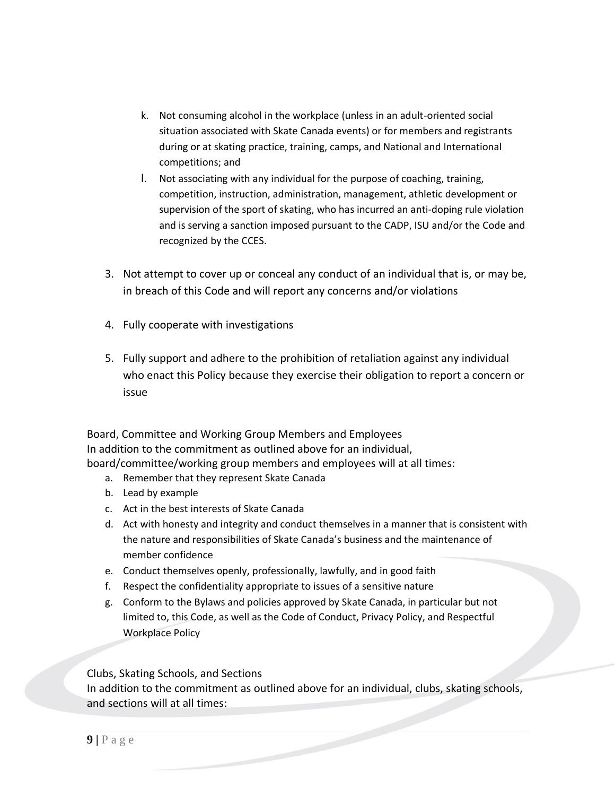- k. Not consuming alcohol in the workplace (unless in an adult-oriented social situation associated with Skate Canada events) or for members and registrants during or at skating practice, training, camps, and National and International competitions; and
- l. Not associating with any individual for the purpose of coaching, training, competition, instruction, administration, management, athletic development or supervision of the sport of skating, who has incurred an anti-doping rule violation and is serving a sanction imposed pursuant to the CADP, ISU and/or the Code and recognized by the CCES.
- 3. Not attempt to cover up or conceal any conduct of an individual that is, or may be, in breach of this Code and will report any concerns and/or violations
- 4. Fully cooperate with investigations
- 5. Fully support and adhere to the prohibition of retaliation against any individual who enact this Policy because they exercise their obligation to report a concern or issue

Board, Committee and Working Group Members and Employees In addition to the commitment as outlined above for an individual, board/committee/working group members and employees will at all times:

- a. Remember that they represent Skate Canada
- b. Lead by example
- c. Act in the best interests of Skate Canada
- d. Act with honesty and integrity and conduct themselves in a manner that is consistent with the nature and responsibilities of Skate Canada's business and the maintenance of member confidence
- e. Conduct themselves openly, professionally, lawfully, and in good faith
- f. Respect the confidentiality appropriate to issues of a sensitive nature
- g. Conform to the Bylaws and policies approved by Skate Canada, in particular but not limited to, this Code, as well as the Code of Conduct, Privacy Policy, and Respectful Workplace Policy

Clubs, Skating Schools, and Sections

In addition to the commitment as outlined above for an individual, clubs, skating schools, and sections will at all times: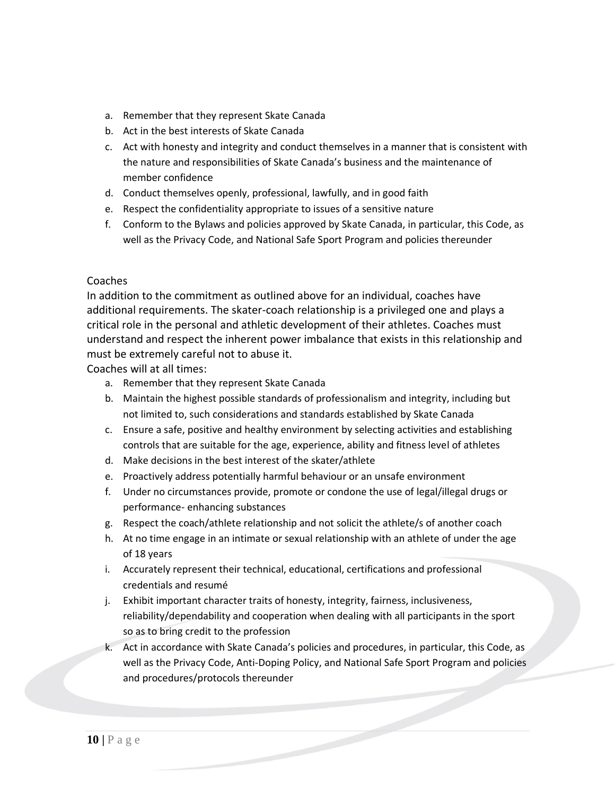- a. Remember that they represent Skate Canada
- b. Act in the best interests of Skate Canada
- c. Act with honesty and integrity and conduct themselves in a manner that is consistent with the nature and responsibilities of Skate Canada's business and the maintenance of member confidence
- d. Conduct themselves openly, professional, lawfully, and in good faith
- e. Respect the confidentiality appropriate to issues of a sensitive nature
- f. Conform to the Bylaws and policies approved by Skate Canada, in particular, this Code, as well as the Privacy Code, and National Safe Sport Program and policies thereunder

#### Coaches

In addition to the commitment as outlined above for an individual, coaches have additional requirements. The skater-coach relationship is a privileged one and plays a critical role in the personal and athletic development of their athletes. Coaches must understand and respect the inherent power imbalance that exists in this relationship and must be extremely careful not to abuse it.

Coaches will at all times:

- a. Remember that they represent Skate Canada
- b. Maintain the highest possible standards of professionalism and integrity, including but not limited to, such considerations and standards established by Skate Canada
- c. Ensure a safe, positive and healthy environment by selecting activities and establishing controls that are suitable for the age, experience, ability and fitness level of athletes
- d. Make decisions in the best interest of the skater/athlete
- e. Proactively address potentially harmful behaviour or an unsafe environment
- f. Under no circumstances provide, promote or condone the use of legal/illegal drugs or performance- enhancing substances
- g. Respect the coach/athlete relationship and not solicit the athlete/s of another coach
- h. At no time engage in an intimate or sexual relationship with an athlete of under the age of 18 years
- i. Accurately represent their technical, educational, certifications and professional credentials and resumé
- j. Exhibit important character traits of honesty, integrity, fairness, inclusiveness, reliability/dependability and cooperation when dealing with all participants in the sport so as to bring credit to the profession
- k. Act in accordance with Skate Canada's policies and procedures, in particular, this Code, as well as the Privacy Code, Anti-Doping Policy, and National Safe Sport Program and policies and procedures/protocols thereunder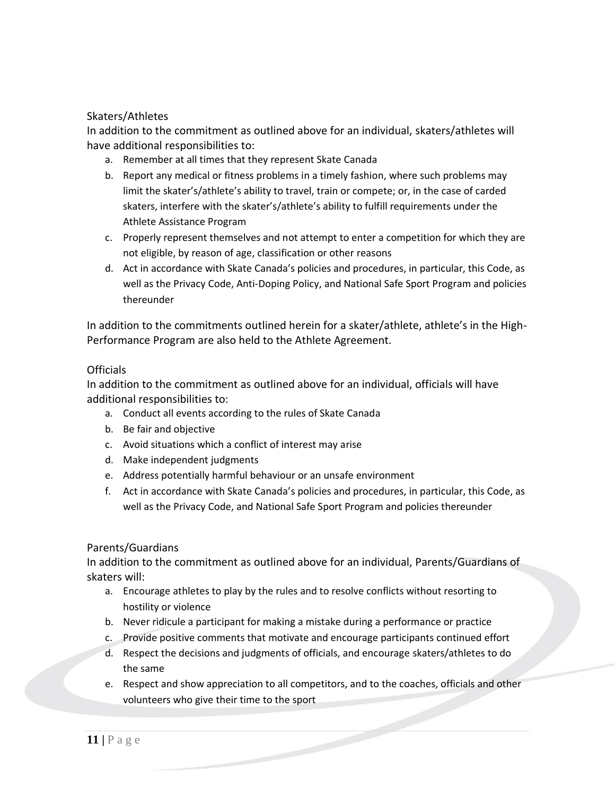#### Skaters/Athletes

In addition to the commitment as outlined above for an individual, skaters/athletes will have additional responsibilities to:

- a. Remember at all times that they represent Skate Canada
- b. Report any medical or fitness problems in a timely fashion, where such problems may limit the skater's/athlete's ability to travel, train or compete; or, in the case of carded skaters, interfere with the skater's/athlete's ability to fulfill requirements under the Athlete Assistance Program
- c. Properly represent themselves and not attempt to enter a competition for which they are not eligible, by reason of age, classification or other reasons
- d. Act in accordance with Skate Canada's policies and procedures, in particular, this Code, as well as the Privacy Code, Anti-Doping Policy, and National Safe Sport Program and policies thereunder

In addition to the commitments outlined herein for a skater/athlete, athlete's in the High-Performance Program are also held to the Athlete Agreement.

#### Officials

In addition to the commitment as outlined above for an individual, officials will have additional responsibilities to:

- a. Conduct all events according to the rules of Skate Canada
- b. Be fair and objective
- c. Avoid situations which a conflict of interest may arise
- d. Make independent judgments
- e. Address potentially harmful behaviour or an unsafe environment
- f. Act in accordance with Skate Canada's policies and procedures, in particular, this Code, as well as the Privacy Code, and National Safe Sport Program and policies thereunder

#### Parents/Guardians

In addition to the commitment as outlined above for an individual, Parents/Guardians of skaters will:

- a. Encourage athletes to play by the rules and to resolve conflicts without resorting to hostility or violence
- b. Never ridicule a participant for making a mistake during a performance or practice
- c. Provide positive comments that motivate and encourage participants continued effort
- d. Respect the decisions and judgments of officials, and encourage skaters/athletes to do the same
- e. Respect and show appreciation to all competitors, and to the coaches, officials and other volunteers who give their time to the sport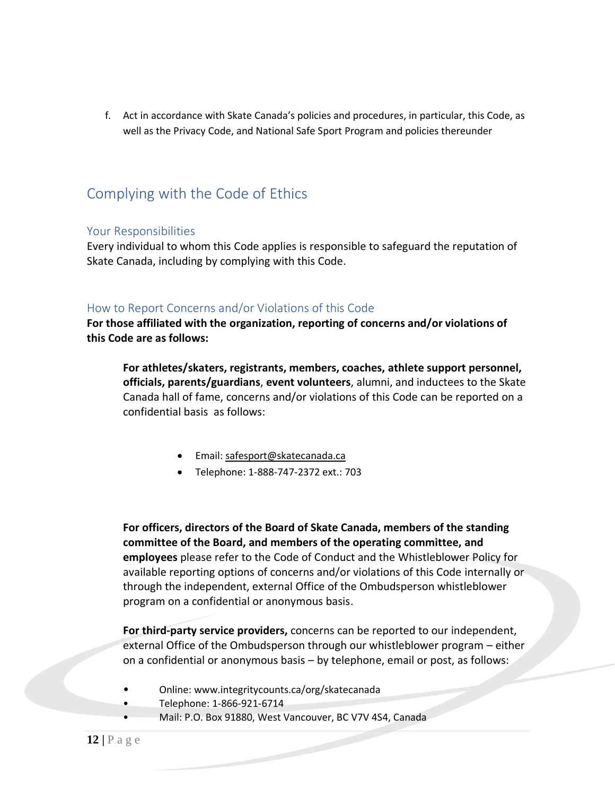f. Act in accordance with Skate Canada's policies and procedures, in particular, this Code, as well as the Privacy Code, and National Safe Sport Program and policies thereunder

## <span id="page-11-0"></span>Complying with the Code of Ethics

#### <span id="page-11-1"></span>Your Responsibilities

Every individual to whom this Code applies is responsible to safeguard the reputation of Skate Canada, including by complying with this Code.

#### <span id="page-11-2"></span>How to Report Concerns and/or Violations of this Code

**For those affiliated with the organization, reporting of concerns and/or violations of this Code are as follows:**

**For athletes/skaters, registrants, members, coaches, athlete support personnel, officials, parents/guardians**, **event volunteers**, alumni, and inductees to the Skate Canada hall of fame, concerns and/or violations of this Code can be reported on a confidential basis as follows:

- Email[: safesport@skatecanada.ca](mailto:safesport@skatecanada.ca)
- Telephone: 1-888-747-2372 ext.: 703

**For officers, directors of the Board of Skate Canada, members of the standing committee of the Board, and members of the operating committee, and employees** please refer to the Code of Conduct and the Whistleblower Policy for available reporting options of concerns and/or violations of this Code internally or through the independent, external Office of the Ombudsperson whistleblower program on a confidential or anonymous basis.

**For third-party service providers,** concerns can be reported to our independent, external Office of the Ombudsperson through our whistleblower program – either on a confidential or anonymous basis – by telephone, email or post, as follows:

- Online: www.integritycounts.ca/org/skatecanada
- Telephone: 1-866-921-6714
- Mail: P.O. Box 91880, West Vancouver, BC V7V 4S4, Canada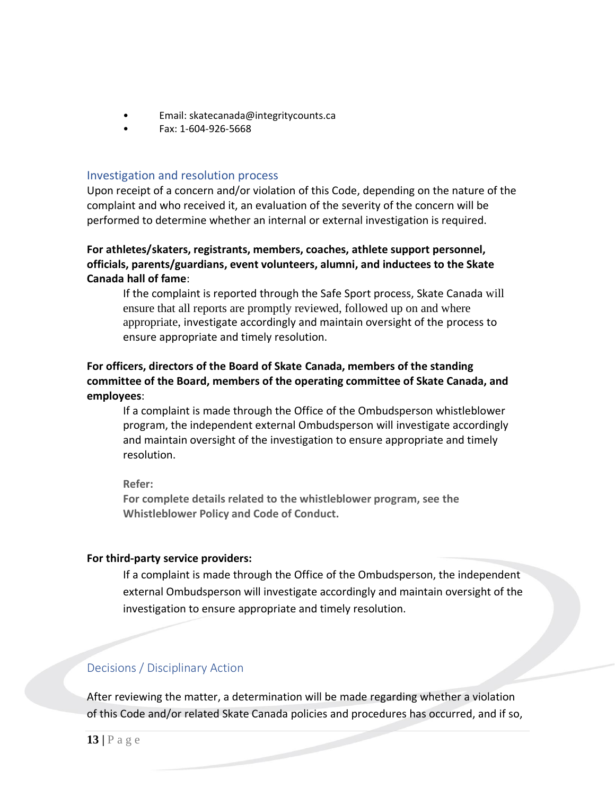- Email: skatecanada@integritycounts.ca
- Fax: 1-604-926-5668

#### <span id="page-12-0"></span>Investigation and resolution process

Upon receipt of a concern and/or violation of this Code, depending on the nature of the complaint and who received it, an evaluation of the severity of the concern will be performed to determine whether an internal or external investigation is required.

#### **For athletes/skaters, registrants, members, coaches, athlete support personnel, officials, parents/guardians, event volunteers, alumni, and inductees to the Skate Canada hall of fame**:

If the complaint is reported through the Safe Sport process, Skate Canada will ensure that all reports are promptly reviewed, followed up on and where appropriate, investigate accordingly and maintain oversight of the process to ensure appropriate and timely resolution.

#### **For officers, directors of the Board of Skate Canada, members of the standing committee of the Board, members of the operating committee of Skate Canada, and employees**:

If a complaint is made through the Office of the Ombudsperson whistleblower program, the independent external Ombudsperson will investigate accordingly and maintain oversight of the investigation to ensure appropriate and timely resolution.

**Refer:** 

**For complete details related to the whistleblower program, see the Whistleblower Policy and Code of Conduct.**

#### **For third-party service providers:**

If a complaint is made through the Office of the Ombudsperson, the independent external Ombudsperson will investigate accordingly and maintain oversight of the investigation to ensure appropriate and timely resolution.

#### <span id="page-12-1"></span>Decisions / Disciplinary Action

After reviewing the matter, a determination will be made regarding whether a violation of this Code and/or related Skate Canada policies and procedures has occurred, and if so,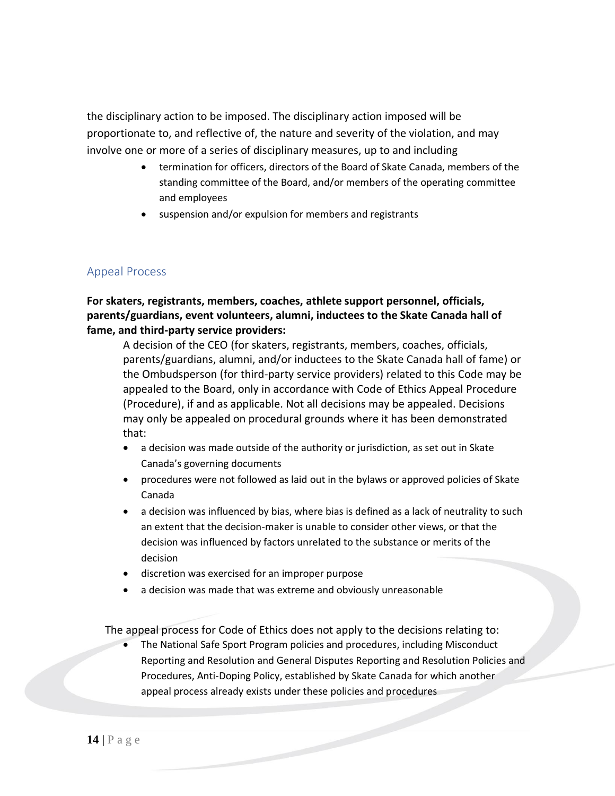the disciplinary action to be imposed. The disciplinary action imposed will be proportionate to, and reflective of, the nature and severity of the violation, and may involve one or more of a series of disciplinary measures, up to and including

- termination for officers, directors of the Board of Skate Canada, members of the standing committee of the Board, and/or members of the operating committee and employees
- suspension and/or expulsion for members and registrants

#### <span id="page-13-0"></span>Appeal Process

#### **For skaters, registrants, members, coaches, athlete support personnel, officials, parents/guardians, event volunteers, alumni, inductees to the Skate Canada hall of fame, and third-party service providers:**

A decision of the CEO (for skaters, registrants, members, coaches, officials, parents/guardians, alumni, and/or inductees to the Skate Canada hall of fame) or the Ombudsperson (for third-party service providers) related to this Code may be appealed to the Board, only in accordance with Code of Ethics Appeal Procedure (Procedure), if and as applicable. Not all decisions may be appealed. Decisions may only be appealed on procedural grounds where it has been demonstrated that:

- a decision was made outside of the authority or jurisdiction, as set out in Skate Canada's governing documents
- procedures were not followed as laid out in the bylaws or approved policies of Skate Canada
- a decision was influenced by bias, where bias is defined as a lack of neutrality to such an extent that the decision-maker is unable to consider other views, or that the decision was influenced by factors unrelated to the substance or merits of the decision
- discretion was exercised for an improper purpose
- a decision was made that was extreme and obviously unreasonable

The appeal process for Code of Ethics does not apply to the decisions relating to:

• The National Safe Sport Program policies and procedures, including Misconduct Reporting and Resolution and General Disputes Reporting and Resolution Policies and Procedures, Anti-Doping Policy, established by Skate Canada for which another appeal process already exists under these policies and procedures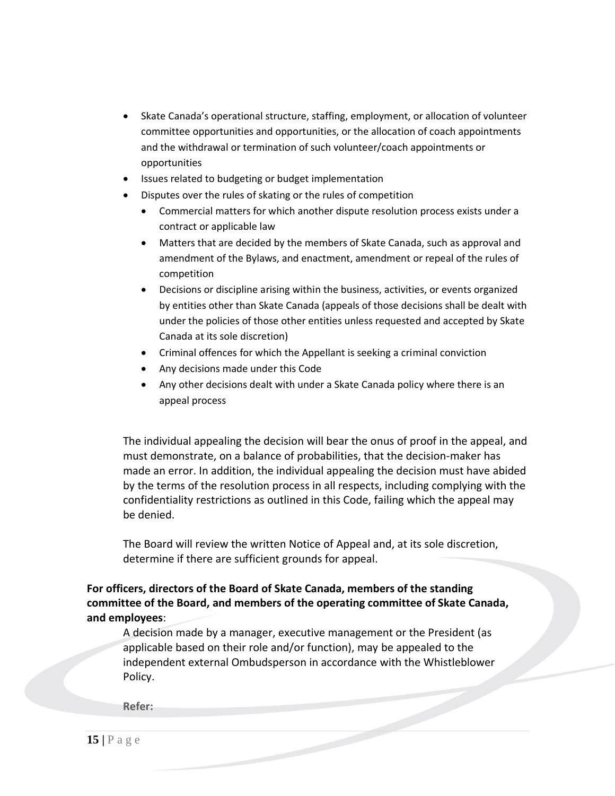- Skate Canada's operational structure, staffing, employment, or allocation of volunteer committee opportunities and opportunities, or the allocation of coach appointments and the withdrawal or termination of such volunteer/coach appointments or opportunities
- Issues related to budgeting or budget implementation
- Disputes over the rules of skating or the rules of competition
	- Commercial matters for which another dispute resolution process exists under a contract or applicable law
	- Matters that are decided by the members of Skate Canada, such as approval and amendment of the Bylaws, and enactment, amendment or repeal of the rules of competition
	- Decisions or discipline arising within the business, activities, or events organized by entities other than Skate Canada (appeals of those decisions shall be dealt with under the policies of those other entities unless requested and accepted by Skate Canada at its sole discretion)
	- Criminal offences for which the Appellant is seeking a criminal conviction
	- Any decisions made under this Code
	- Any other decisions dealt with under a Skate Canada policy where there is an appeal process

The individual appealing the decision will bear the onus of proof in the appeal, and must demonstrate, on a balance of probabilities, that the decision-maker has made an error. In addition, the individual appealing the decision must have abided by the terms of the resolution process in all respects, including complying with the confidentiality restrictions as outlined in this Code, failing which the appeal may be denied.

The Board will review the written Notice of Appeal and, at its sole discretion, determine if there are sufficient grounds for appeal.

**For officers, directors of the Board of Skate Canada, members of the standing committee of the Board, and members of the operating committee of Skate Canada, and employees**:

A decision made by a manager, executive management or the President (as applicable based on their role and/or function), may be appealed to the independent external Ombudsperson in accordance with the Whistleblower Policy.

**Refer:**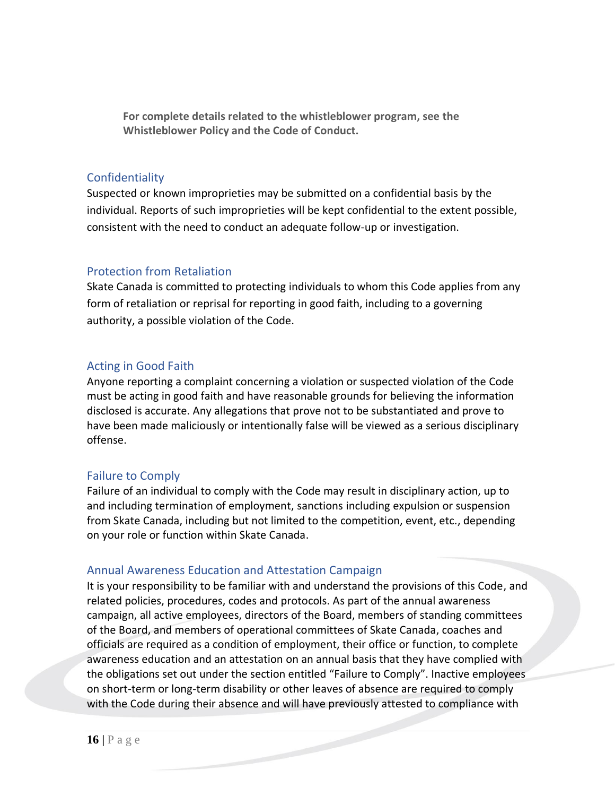**For complete details related to the whistleblower program, see the Whistleblower Policy and the Code of Conduct.**

#### <span id="page-15-0"></span>**Confidentiality**

Suspected or known improprieties may be submitted on a confidential basis by the individual. Reports of such improprieties will be kept confidential to the extent possible, consistent with the need to conduct an adequate follow-up or investigation.

#### <span id="page-15-1"></span>Protection from Retaliation

Skate Canada is committed to protecting individuals to whom this Code applies from any form of retaliation or reprisal for reporting in good faith, including to a governing authority, a possible violation of the Code.

#### <span id="page-15-2"></span>Acting in Good Faith

Anyone reporting a complaint concerning a violation or suspected violation of the Code must be acting in good faith and have reasonable grounds for believing the information disclosed is accurate. Any allegations that prove not to be substantiated and prove to have been made maliciously or intentionally false will be viewed as a serious disciplinary offense.

#### <span id="page-15-3"></span>Failure to Comply

Failure of an individual to comply with the Code may result in disciplinary action, up to and including termination of employment, sanctions including expulsion or suspension from Skate Canada, including but not limited to the competition, event, etc., depending on your role or function within Skate Canada.

#### <span id="page-15-4"></span>Annual Awareness Education and Attestation Campaign

It is your responsibility to be familiar with and understand the provisions of this Code, and related policies, procedures, codes and protocols. As part of the annual awareness campaign, all active employees, directors of the Board, members of standing committees of the Board, and members of operational committees of Skate Canada, coaches and officials are required as a condition of employment, their office or function, to complete awareness education and an attestation on an annual basis that they have complied with the obligations set out under the section entitled "Failure to Comply". Inactive employees on short-term or long-term disability or other leaves of absence are required to comply with the Code during their absence and will have previously attested to compliance with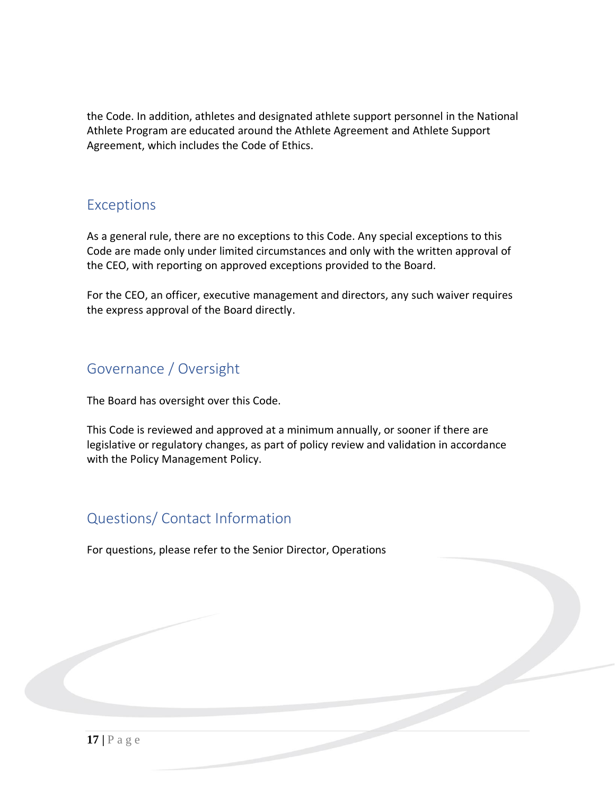the Code. In addition, athletes and designated athlete support personnel in the National Athlete Program are educated around the Athlete Agreement and Athlete Support Agreement, which includes the Code of Ethics.

### <span id="page-16-0"></span>Exceptions

As a general rule, there are no exceptions to this Code. Any special exceptions to this Code are made only under limited circumstances and only with the written approval of the CEO, with reporting on approved exceptions provided to the Board.

For the CEO, an officer, executive management and directors, any such waiver requires the express approval of the Board directly.

# <span id="page-16-1"></span>Governance / Oversight

The Board has oversight over this Code.

This Code is reviewed and approved at a minimum annually, or sooner if there are legislative or regulatory changes, as part of policy review and validation in accordance with the Policy Management Policy.

# <span id="page-16-2"></span>Questions/ Contact Information

For questions, please refer to the Senior Director, Operations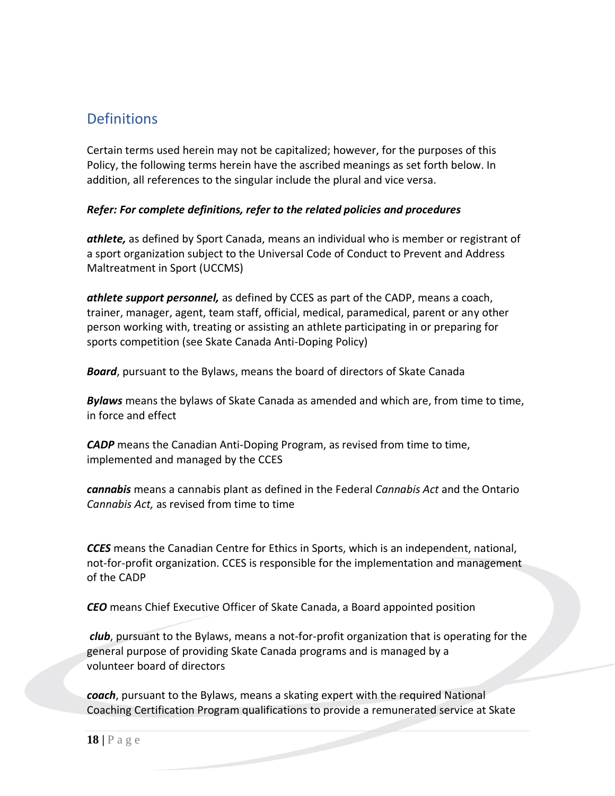### <span id="page-17-0"></span>**Definitions**

Certain terms used herein may not be capitalized; however, for the purposes of this Policy, the following terms herein have the ascribed meanings as set forth below. In addition, all references to the singular include the plural and vice versa.

#### *Refer: For complete definitions, refer to the related policies and procedures*

*athlete,* as defined by Sport Canada, means an individual who is member or registrant of a sport organization subject to the Universal Code of Conduct to Prevent and Address Maltreatment in Sport (UCCMS)

*athlete support personnel,* as defined by CCES as part of the CADP, means a coach, trainer, manager, agent, team staff, official, medical, paramedical, parent or any other person working with, treating or assisting an athlete participating in or preparing for sports competition (see Skate Canada Anti-Doping Policy)

*Board*, pursuant to the Bylaws, means the board of directors of Skate Canada

*Bylaws* means the bylaws of Skate Canada as amended and which are, from time to time, in force and effect

*CADP* means the Canadian Anti-Doping Program, as revised from time to time, implemented and managed by the CCES

*cannabis* means a cannabis plant as defined in the Federal *Cannabis Act* and the Ontario *Cannabis Act,* as revised from time to time

*CCES* means the Canadian Centre for Ethics in Sports, which is an independent, national, not-for-profit organization. CCES is responsible for the implementation and management of the CADP

*CEO* means Chief Executive Officer of Skate Canada, a Board appointed position

*club*, pursuant to the Bylaws, means a not-for-profit organization that is operating for the general purpose of providing Skate Canada programs and is managed by a volunteer board of directors

*coach*, pursuant to the Bylaws, means a skating expert with the required National Coaching Certification Program qualifications to provide a remunerated service at Skate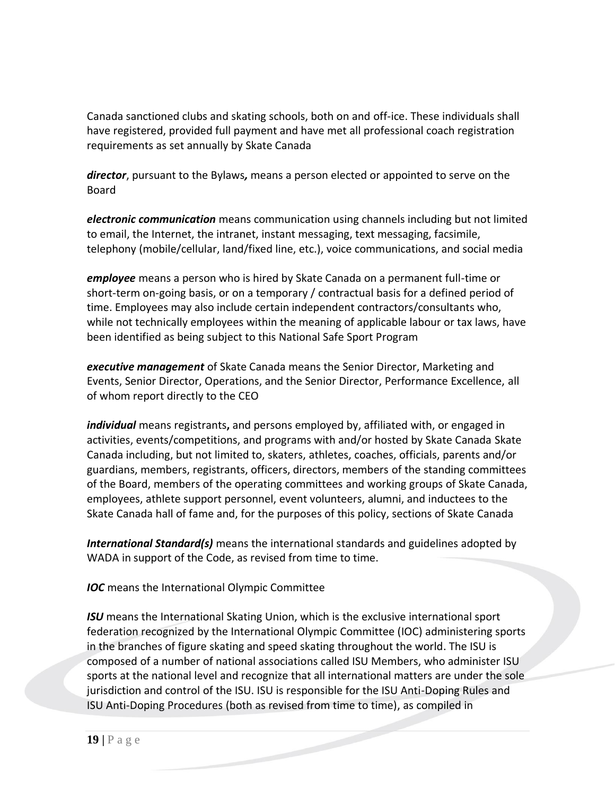Canada sanctioned clubs and skating schools, both on and off-ice. These individuals shall have registered, provided full payment and have met all professional coach registration requirements as set annually by Skate Canada

*director*, pursuant to the Bylaws*,* means a person elected or appointed to serve on the Board

*electronic communication* means communication using channels including but not limited to email, the Internet, the intranet, instant messaging, text messaging, facsimile, telephony (mobile/cellular, land/fixed line, etc.), voice communications, and social media

*employee* means a person who is hired by Skate Canada on a permanent full-time or short-term on-going basis, or on a temporary / contractual basis for a defined period of time. Employees may also include certain independent contractors/consultants who, while not technically employees within the meaning of applicable labour or tax laws, have been identified as being subject to this National Safe Sport Program

*executive management* of Skate Canada means the Senior Director, Marketing and Events, Senior Director, Operations, and the Senior Director, Performance Excellence, all of whom report directly to the CEO

*individual* means registrants**,** and persons employed by, affiliated with, or engaged in activities, events/competitions, and programs with and/or hosted by Skate Canada Skate Canada including, but not limited to, skaters, athletes, coaches, officials, parents and/or guardians, members, registrants, officers, directors, members of the standing committees of the Board, members of the operating committees and working groups of Skate Canada, employees, athlete support personnel, event volunteers, alumni, and inductees to the Skate Canada hall of fame and, for the purposes of this policy, sections of Skate Canada

*International Standard(s)* means the international standards and guidelines adopted by WADA in support of the Code, as revised from time to time.

*IOC* means the International Olympic Committee

*ISU* means the International Skating Union, which is the exclusive international sport federation recognized by the International Olympic Committee (IOC) administering sports in the branches of figure skating and speed skating throughout the world. The ISU is composed of a number of national associations called ISU Members, who administer ISU sports at the national level and recognize that all international matters are under the sole jurisdiction and control of the ISU. ISU is responsible for the ISU Anti-Doping Rules and ISU Anti-Doping Procedures (both as revised from time to time), as compiled in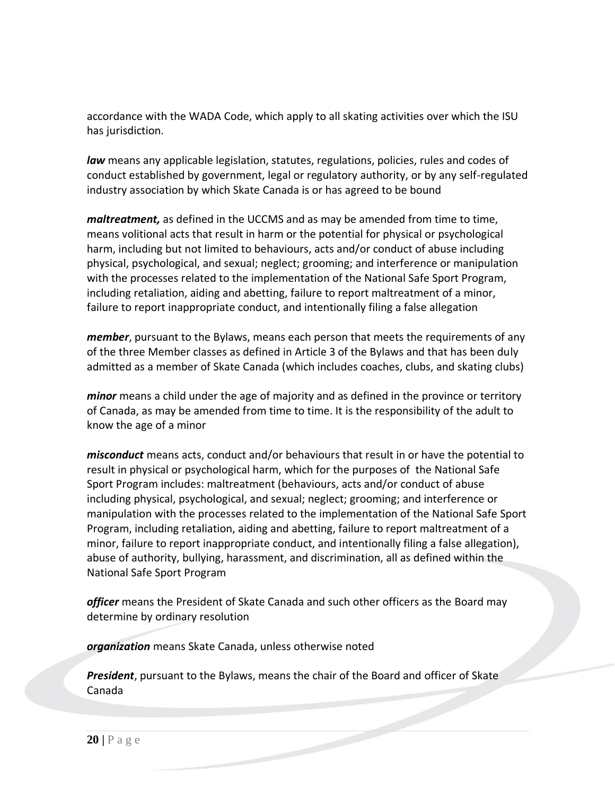accordance with the WADA Code, which apply to all skating activities over which the ISU has jurisdiction.

*law* means any applicable legislation, statutes, regulations, policies, rules and codes of conduct established by government, legal or regulatory authority, or by any self-regulated industry association by which Skate Canada is or has agreed to be bound

*maltreatment*, as defined in the UCCMS and as may be amended from time to time, means volitional acts that result in harm or the potential for physical or psychological harm, including but not limited to behaviours, acts and/or conduct of abuse including physical, psychological, and sexual; neglect; grooming; and interference or manipulation with the processes related to the implementation of the National Safe Sport Program, including retaliation, aiding and abetting, failure to report maltreatment of a minor, failure to report inappropriate conduct, and intentionally filing a false allegation

*member*, pursuant to the Bylaws, means each person that meets the requirements of any of the three Member classes as defined in Article 3 of the Bylaws and that has been duly admitted as a member of Skate Canada (which includes coaches, clubs, and skating clubs)

*minor* means a child under the age of majority and as defined in the province or territory of Canada, as may be amended from time to time. It is the responsibility of the adult to know the age of a minor

*misconduct* means acts, conduct and/or behaviours that result in or have the potential to result in physical or psychological harm, which for the purposes of the National Safe Sport Program includes: maltreatment (behaviours, acts and/or conduct of abuse including physical, psychological, and sexual; neglect; grooming; and interference or manipulation with the processes related to the implementation of the National Safe Sport Program, including retaliation, aiding and abetting, failure to report maltreatment of a minor, failure to report inappropriate conduct, and intentionally filing a false allegation), abuse of authority, bullying, harassment, and discrimination, all as defined within the National Safe Sport Program

*officer* means the President of Skate Canada and such other officers as the Board may determine by ordinary resolution

*organization* means Skate Canada, unless otherwise noted

*President*, pursuant to the Bylaws, means the chair of the Board and officer of Skate Canada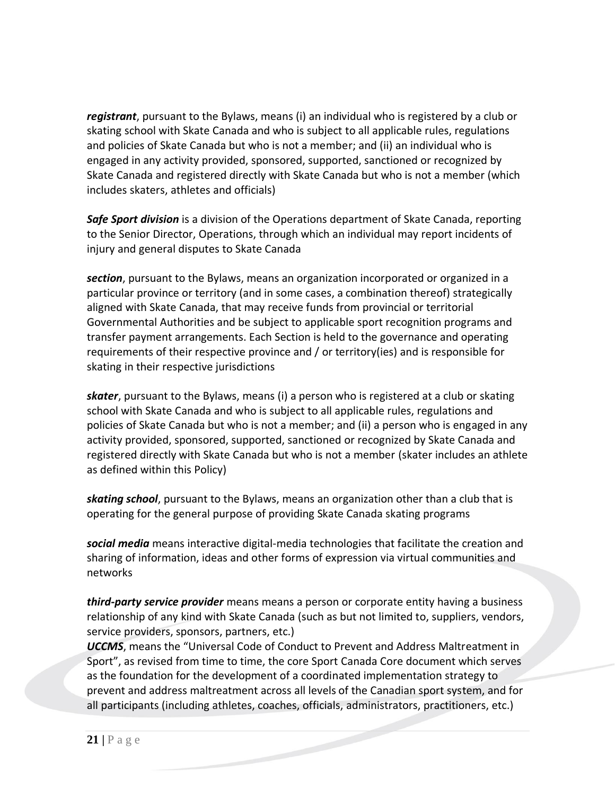*registrant*, pursuant to the Bylaws, means (i) an individual who is registered by a club or skating school with Skate Canada and who is subject to all applicable rules, regulations and policies of Skate Canada but who is not a member; and (ii) an individual who is engaged in any activity provided, sponsored, supported, sanctioned or recognized by Skate Canada and registered directly with Skate Canada but who is not a member (which includes skaters, athletes and officials)

*Safe Sport division* is a division of the Operations department of Skate Canada, reporting to the Senior Director, Operations, through which an individual may report incidents of injury and general disputes to Skate Canada

*section*, pursuant to the Bylaws, means an organization incorporated or organized in a particular province or territory (and in some cases, a combination thereof) strategically aligned with Skate Canada, that may receive funds from provincial or territorial Governmental Authorities and be subject to applicable sport recognition programs and transfer payment arrangements. Each Section is held to the governance and operating requirements of their respective province and / or territory(ies) and is responsible for skating in their respective jurisdictions

*skater*, pursuant to the Bylaws, means (i) a person who is registered at a club or skating school with Skate Canada and who is subject to all applicable rules, regulations and policies of Skate Canada but who is not a member; and (ii) a person who is engaged in any activity provided, sponsored, supported, sanctioned or recognized by Skate Canada and registered directly with Skate Canada but who is not a member (skater includes an athlete as defined within this Policy)

*skating school*, pursuant to the Bylaws, means an organization other than a club that is operating for the general purpose of providing Skate Canada skating programs

*social media* means interactive digital-media technologies that facilitate the creation and sharing of information, ideas and other forms of expression via virtual communities and networks

*third-party service provider* means means a person or corporate entity having a business relationship of any kind with Skate Canada (such as but not limited to, suppliers, vendors, service providers, sponsors, partners, etc.)

*UCCMS*, means the "Universal Code of Conduct to Prevent and Address Maltreatment in Sport", as revised from time to time, the core Sport Canada Core document which serves as the foundation for the development of a coordinated implementation strategy to prevent and address maltreatment across all levels of the Canadian sport system, and for all participants (including athletes, coaches, officials, administrators, practitioners, etc.)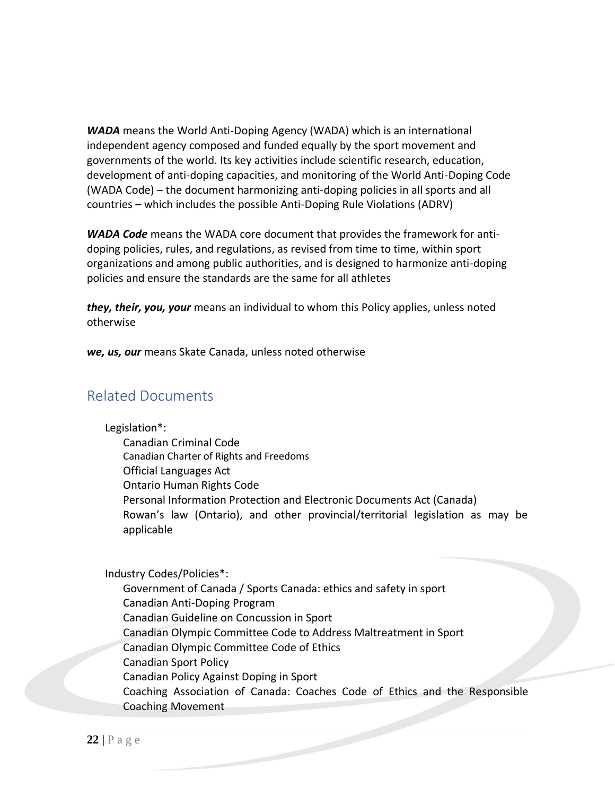*WADA* means the World Anti-Doping Agency (WADA) which is an international independent agency composed and funded equally by the sport movement and governments of the world. Its key activities include scientific research, education, development of anti-doping capacities, and monitoring of the World Anti-Doping Code (WADA Code) – the document harmonizing anti-doping policies in all sports and all countries – which includes the possible Anti-Doping Rule Violations (ADRV)

*WADA Code* means the WADA core document that provides the framework for antidoping policies, rules, and regulations, as revised from time to time, within sport organizations and among public authorities, and is designed to harmonize anti-doping policies and ensure the standards are the same for all athletes

*they, their, you, your* means an individual to whom this Policy applies, unless noted otherwise

*we, us, our* means Skate Canada, unless noted otherwise

### <span id="page-21-0"></span>Related Documents

Legislation\*:

Canadian Criminal Code Canadian Charter of Rights and Freedoms Official Languages Act Ontario Human Rights Code Personal Information Protection and Electronic Documents Act (Canada) Rowan's law (Ontario), and other provincial/territorial legislation as may be applicable

Industry Codes/Policies\*:

Government of Canada / Sports Canada: ethics and safety in sport Canadian Anti-Doping Program Canadian Guideline on Concussion in Sport Canadian Olympic Committee Code to Address Maltreatment in Sport Canadian Olympic Committee Code of Ethics Canadian Sport Policy Canadian Policy Against Doping in Sport Coaching Association of Canada: Coaches Code of Ethics and the Responsible Coaching Movement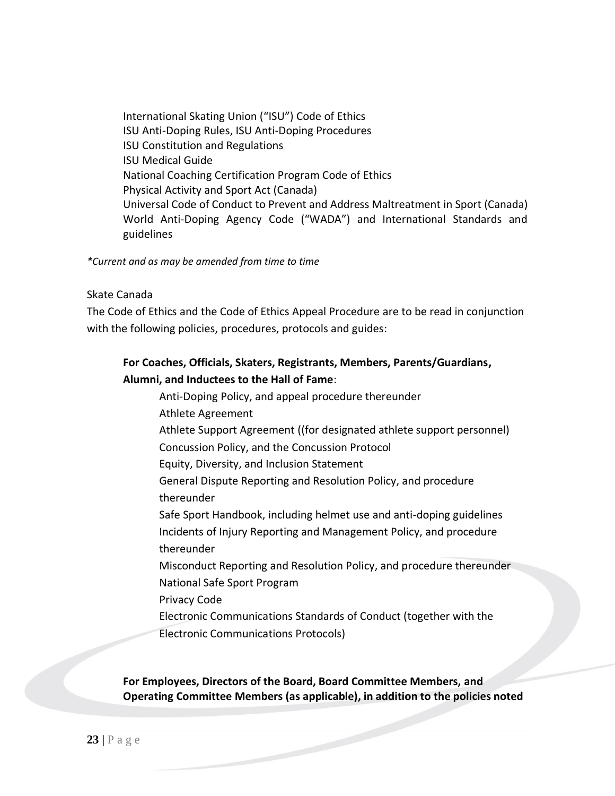International Skating Union ("ISU") Code of Ethics ISU Anti-Doping Rules, ISU Anti-Doping Procedures ISU Constitution and Regulations ISU Medical Guide National Coaching Certification Program Code of Ethics Physical Activity and Sport Act (Canada) Universal Code of Conduct to Prevent and Address Maltreatment in Sport (Canada) World Anti-Doping Agency Code ("WADA") and International Standards and guidelines

*\*Current and as may be amended from time to time*

#### Skate Canada

The Code of Ethics and the Code of Ethics Appeal Procedure are to be read in conjunction with the following policies, procedures, protocols and guides:

### **For Coaches, Officials, Skaters, Registrants, Members, Parents/Guardians, Alumni, and Inductees to the Hall of Fame**:

Anti-Doping Policy, and appeal procedure thereunder Athlete Agreement Athlete Support Agreement ((for designated athlete support personnel) Concussion Policy, and the Concussion Protocol Equity, Diversity, and Inclusion Statement General Dispute Reporting and Resolution Policy, and procedure thereunder Safe Sport Handbook, including helmet use and anti-doping guidelines Incidents of Injury Reporting and Management Policy, and procedure thereunder Misconduct Reporting and Resolution Policy, and procedure thereunder National Safe Sport Program Privacy Code Electronic Communications Standards of Conduct (together with the

Electronic Communications Protocols)

**For Employees, Directors of the Board, Board Committee Members, and Operating Committee Members (as applicable), in addition to the policies noted**